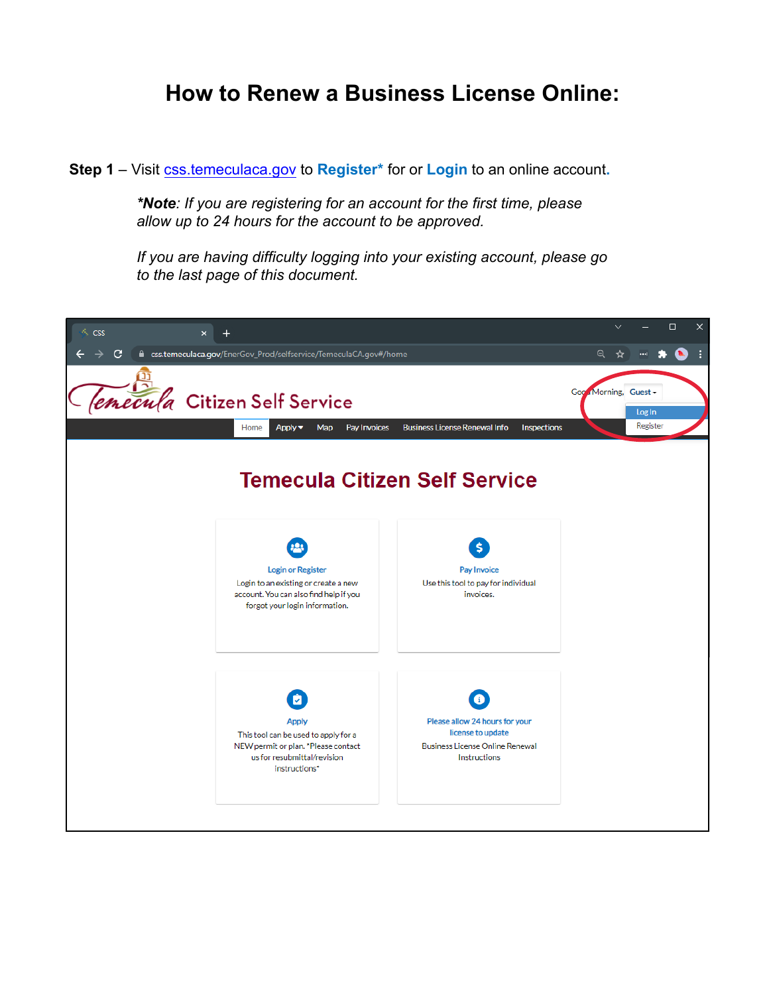## **How to Renew a Business License Online:**

**Step 1** – Visit [css.temeculaca.gov](http:/css.temeculaca.gov) to **Register\*** for or **Login** to an online account**.**

*\*Note: If you are registering for an account for the first time, please allow up to 24 hours for the account to be approved.*

*If you are having difficulty logging into your existing account, please go to the last page of this document.*

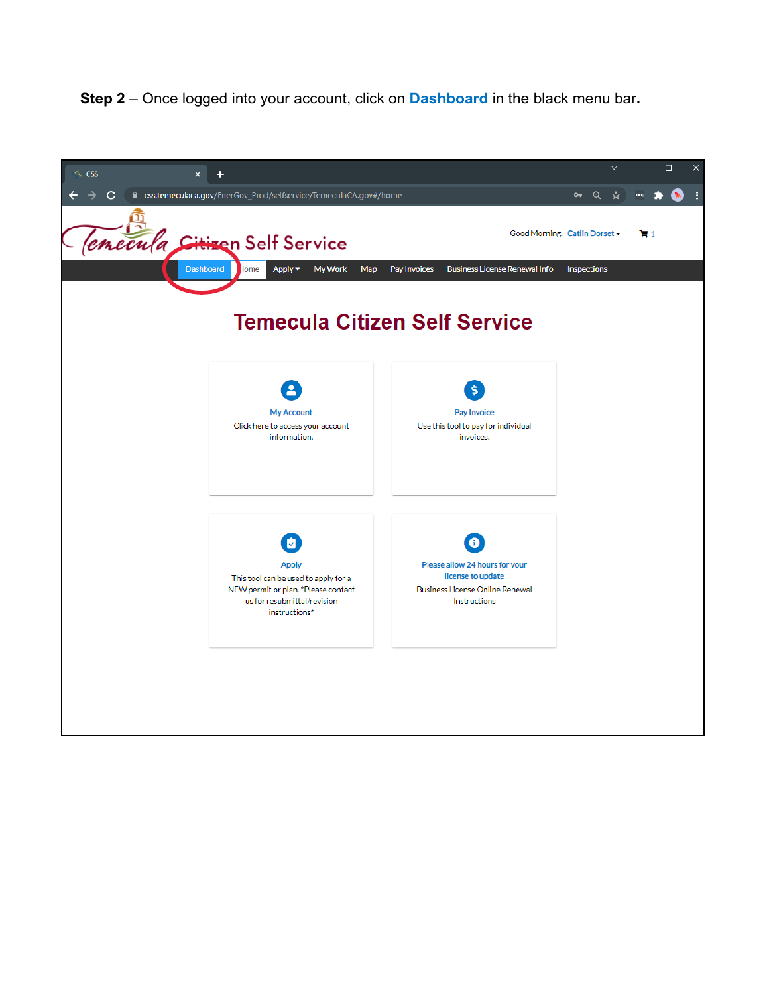**Step 2** – Once logged into your account, click on **Dashboard** in the black menu bar**.**

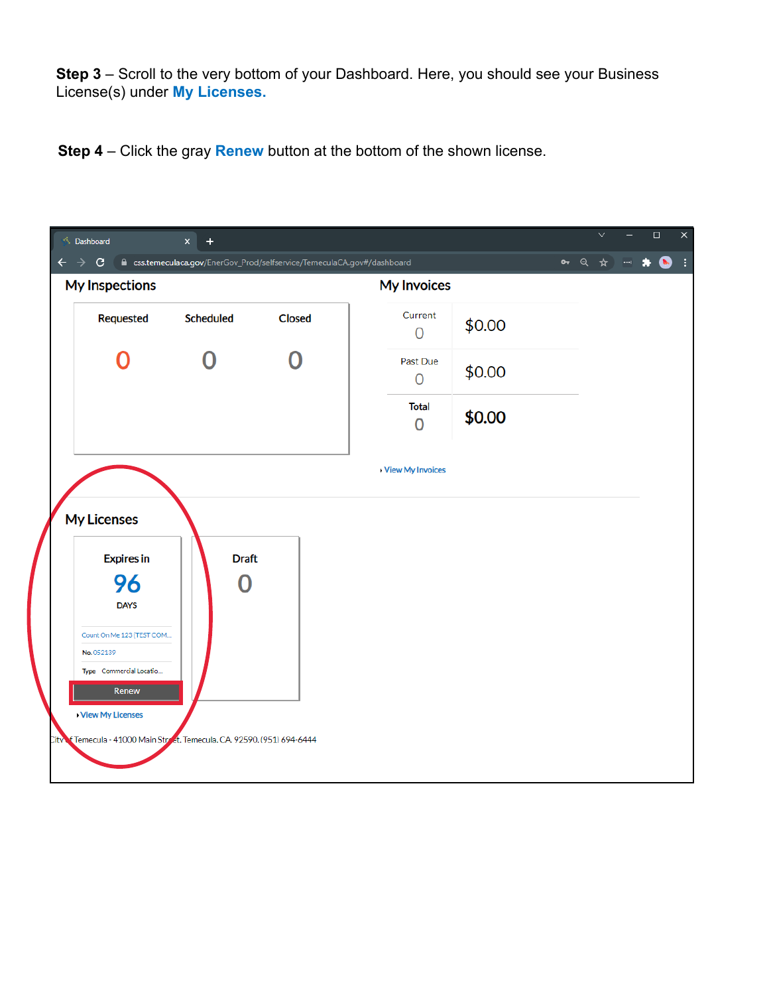**Step 3** – Scroll to the very bottom of your Dashboard. Here, you should see your Business License(s) under **My Licenses.**

**Step 4** – Click the gray **Renew** button at the bottom of the shown license.

|              | <b>S.</b> Dashboard                                                 | $\times$<br>$\pm$                                                       |        |                                |        | $\checkmark$ | $\Box$                   | $\times$ |
|--------------|---------------------------------------------------------------------|-------------------------------------------------------------------------|--------|--------------------------------|--------|--------------|--------------------------|----------|
| $\leftarrow$ | $\mathbf{G}$<br>$\rightarrow$<br>My Inspections                     | ■ css.temeculaca.gov/EnerGov_Prod/selfservice/TemeculaCA.gov#/dashboard |        | <b>My Invoices</b>             |        | • Q ☆        | $\bullet$<br>$\sim$<br>* | ÷        |
|              | Requested                                                           | Scheduled                                                               | Closed | Current<br>$\overline{0}$      | \$0.00 |              |                          |          |
|              |                                                                     |                                                                         |        | Past Due<br>$\overline{0}$     | \$0.00 |              |                          |          |
|              |                                                                     |                                                                         |        | <b>Total</b><br>$\overline{0}$ | \$0.00 |              |                          |          |
|              |                                                                     |                                                                         |        | View My Invoices               |        |              |                          |          |
|              | <b>My Licenses</b>                                                  |                                                                         |        |                                |        |              |                          |          |
|              | <b>Expires in</b>                                                   | <b>Draft</b>                                                            |        |                                |        |              |                          |          |
|              | 96                                                                  | O                                                                       |        |                                |        |              |                          |          |
|              | <b>DAYS</b>                                                         |                                                                         |        |                                |        |              |                          |          |
|              | Count On Me 123 (TEST COM                                           |                                                                         |        |                                |        |              |                          |          |
|              | No. 052139<br>Type Commercial Locatio                               |                                                                         |        |                                |        |              |                          |          |
|              | Renew                                                               |                                                                         |        |                                |        |              |                          |          |
|              | View My Licenses                                                    |                                                                         |        |                                |        |              |                          |          |
| ütv          | f Temecula - 41000 Main Street, Temecula, CA. 92590, (951) 694-6444 |                                                                         |        |                                |        |              |                          |          |
|              |                                                                     |                                                                         |        |                                |        |              |                          |          |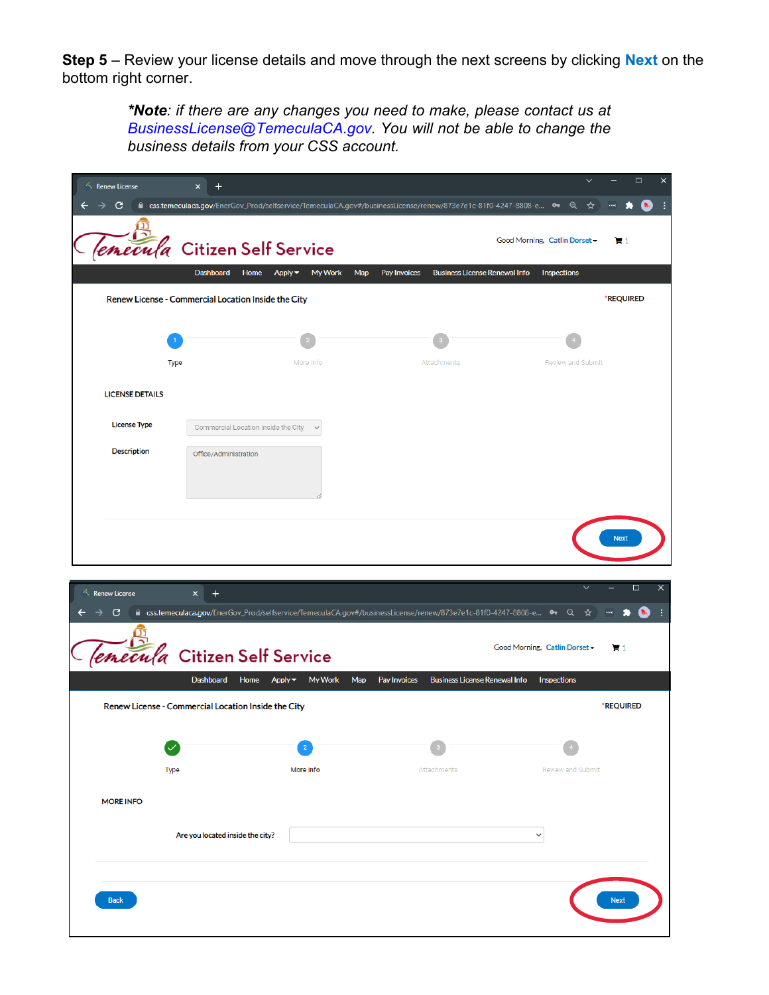**Step 5** – Review your license details and move through the next screens by clicking **Next** on the bottom right corner.

> *\*Note: if there are any changes you need to make, please contact us at [BusinessLicense@TemeculaCA.gov.](mailto:businesslicense@temeculaca.gov) You will not be able to change the business details from your CSS account.*

| <b>Renew License</b>   | $\pmb{\times}$<br>٠                                 |                                              |                                                                                                                 |                               | $\Box$<br>$\times$ |
|------------------------|-----------------------------------------------------|----------------------------------------------|-----------------------------------------------------------------------------------------------------------------|-------------------------------|--------------------|
| c                      |                                                     |                                              | A css.temeculaca.gov/EnerGov_Prod/selfservice/TemeculaCA.gov#/businessLicense/renew/873e7e1c-81f0-4247-8808-e → | ☆                             |                    |
|                        |                                                     |                                              |                                                                                                                 | Good Morning, Catlin Dorset - | 17 1               |
| emecula                | <b>Citizen Self Service</b>                         |                                              |                                                                                                                 |                               |                    |
|                        | Dashboard<br>Home                                   | My Work<br>Apply $\blacktriangledown$<br>Map | <b>Business License Renewal Info</b><br>Pay Invoices                                                            | Inspections                   |                    |
|                        | Renew License - Commercial Location Inside the City |                                              |                                                                                                                 |                               | *REQUIRED          |
|                        |                                                     |                                              |                                                                                                                 |                               |                    |
|                        |                                                     |                                              |                                                                                                                 |                               |                    |
|                        | <b>Type</b>                                         | More Info                                    | Attachments                                                                                                     | Review and Submit             |                    |
| <b>LICENSE DETAILS</b> |                                                     |                                              |                                                                                                                 |                               |                    |
| <b>License Type</b>    | Commercial Location Inside the City $\quad$         |                                              |                                                                                                                 |                               |                    |
| <b>Description</b>     | Office/Administration                               |                                              |                                                                                                                 |                               |                    |
|                        |                                                     |                                              |                                                                                                                 |                               |                    |
|                        |                                                     |                                              |                                                                                                                 |                               |                    |
|                        |                                                     |                                              |                                                                                                                 |                               |                    |
|                        |                                                     |                                              |                                                                                                                 |                               | <b>Next</b>        |
|                        |                                                     |                                              |                                                                                                                 |                               |                    |
| <b>Renew License</b>   | $\ddot{}$<br>$\mathsf{x}$                           |                                              |                                                                                                                 |                               | ×<br>□             |
| С                      |                                                     |                                              | m css.temeculaca.gov/EnerGov_Prod/selfservice/TemeculaCA.gov#/businessLicense/renew/873e7e1c-81f0-4247-8808-e % | $\Theta$<br>☆                 |                    |
|                        |                                                     |                                              |                                                                                                                 |                               |                    |
| emecula                | <b>Citizen Self Service</b>                         |                                              |                                                                                                                 | Good Morning, Catlin Dorset - | <b>H</b> 1         |
|                        | Dashboard<br>Home                                   | Apply v<br><b>My Work</b><br>Map             | <b>Business License Renewal Info</b><br>Pay Invoices                                                            | Inspections                   |                    |
|                        | Renew License - Commercial Location Inside the City |                                              |                                                                                                                 |                               | *REQUIRED          |
|                        |                                                     |                                              |                                                                                                                 |                               |                    |
|                        |                                                     |                                              |                                                                                                                 |                               |                    |
|                        | <b>Type</b>                                         | More Info                                    | Attachments                                                                                                     | <b>Review and Submit</b>      |                    |
| <b>MORE INFO</b>       |                                                     |                                              |                                                                                                                 |                               |                    |
|                        |                                                     |                                              |                                                                                                                 |                               |                    |
|                        | Are you located inside the city?                    |                                              |                                                                                                                 | $\checkmark$                  |                    |
|                        |                                                     |                                              |                                                                                                                 |                               |                    |
| <b>Back</b>            |                                                     |                                              |                                                                                                                 |                               |                    |
|                        |                                                     |                                              |                                                                                                                 |                               | <b>Next</b>        |
|                        |                                                     |                                              |                                                                                                                 |                               |                    |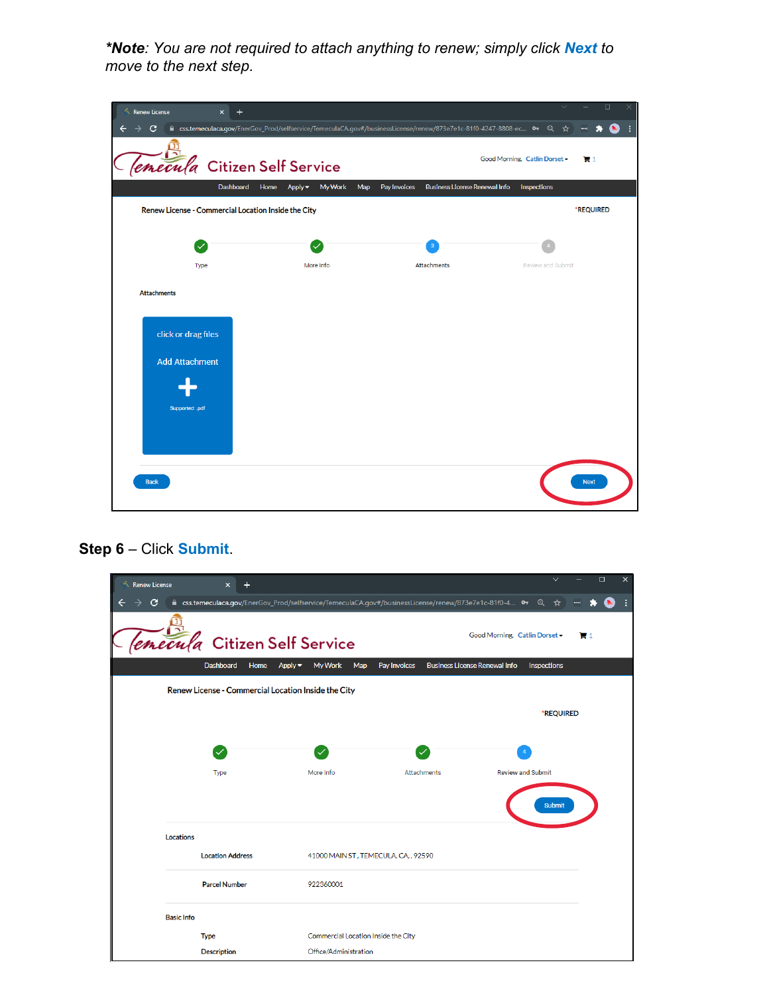*\*Note: You are not required to attach anything to renew; simply click Next to move to the next step.*

| <b>Renew License</b><br>$\times$                    | $\ddot{}$                                                                                                            |                                                      | $\Box$<br>$\vee$<br>$\times$                    |
|-----------------------------------------------------|----------------------------------------------------------------------------------------------------------------------|------------------------------------------------------|-------------------------------------------------|
| C                                                   | A css.temeculaca.gov/EnerGov_Prod/selfservice/TemeculaCA.gov#/businessLicense/renew/873e7e1c-81f0-4247-8808-ec 0 Q ☆ |                                                      | t.<br>$\leftarrow$                              |
|                                                     | <i>emecula</i> Citizen Self Service                                                                                  |                                                      | Good Morning, Catlin Dorset -<br>$\mathbb{R}^1$ |
|                                                     | <b>Dashboard</b><br>Home<br><b>My Work</b><br>Map<br>Apply $\blacktriangledown$                                      | Pay Invoices<br><b>Business License Renewal Info</b> | Inspections                                     |
| Renew License - Commercial Location Inside the City |                                                                                                                      |                                                      | *REQUIRED                                       |
|                                                     |                                                                                                                      |                                                      |                                                 |
|                                                     | $\checkmark$                                                                                                         | $\overline{\mathbf{3}}$                              |                                                 |
| Type                                                | More Info                                                                                                            | <b>Attachments</b>                                   | <b>Review and Submit</b>                        |
| <b>Attachments</b>                                  |                                                                                                                      |                                                      |                                                 |
| click or drag files                                 |                                                                                                                      |                                                      |                                                 |
|                                                     |                                                                                                                      |                                                      |                                                 |
| <b>Add Attachment</b>                               |                                                                                                                      |                                                      |                                                 |
|                                                     |                                                                                                                      |                                                      |                                                 |
| Supported: .pdf                                     |                                                                                                                      |                                                      |                                                 |
|                                                     |                                                                                                                      |                                                      |                                                 |
|                                                     |                                                                                                                      |                                                      |                                                 |
|                                                     |                                                                                                                      |                                                      |                                                 |
| <b>Back</b>                                         |                                                                                                                      |                                                      | <b>Next</b>                                     |
|                                                     |                                                                                                                      |                                                      |                                                 |

## **Step 6** – Click **Submit**.

| <b>Renew License</b> |                   | $\overline{\mathsf{x}}$                                                                               |           |                                      |                     |                    |                                      |                          |          | $\checkmark$ |                         | $\Box$ | × |
|----------------------|-------------------|-------------------------------------------------------------------------------------------------------|-----------|--------------------------------------|---------------------|--------------------|--------------------------------------|--------------------------|----------|--------------|-------------------------|--------|---|
| С                    |                   | ■ css.temeculaca.gov/EnerGov_Prod/selfservice/TemeculaCA.gov#/businessLicense/renew/873e7e1c-81f0-4 O |           |                                      |                     |                    |                                      |                          | $\alpha$ | ☆            | $\left  \cdots \right $ |        |   |
|                      |                   | <i>lemecula</i> Citizen Self Service                                                                  |           |                                      |                     |                    | Good Morning, Catlin Dorset -        |                          |          |              | $\mathbf{H}$ 1          |        |   |
|                      |                   | Dashboard<br>Home                                                                                     | $Apply -$ | My Work                              | Pay Invoices<br>Map |                    | <b>Business License Renewal Info</b> |                          |          | Inspections  |                         |        |   |
|                      |                   | Renew License - Commercial Location Inside the City                                                   |           |                                      |                     |                    |                                      |                          |          |              |                         |        |   |
|                      |                   |                                                                                                       |           |                                      |                     |                    |                                      |                          |          | *REQUIRED    |                         |        |   |
|                      |                   | $\checkmark$                                                                                          |           |                                      |                     |                    |                                      |                          |          |              |                         |        |   |
|                      |                   | Type                                                                                                  |           | More Info                            |                     | <b>Attachments</b> |                                      | <b>Review and Submit</b> |          |              |                         |        |   |
|                      |                   |                                                                                                       |           |                                      |                     |                    |                                      |                          |          | Submit       |                         |        |   |
|                      | Locations         |                                                                                                       |           |                                      |                     |                    |                                      |                          |          |              |                         |        |   |
|                      |                   | <b>Location Address</b>                                                                               |           | 41000 MAIN ST, TEMECULA, CA, , 92590 |                     |                    |                                      |                          |          |              |                         |        |   |
|                      |                   | <b>Parcel Number</b>                                                                                  |           | 922360001                            |                     |                    |                                      |                          |          |              |                         |        |   |
|                      | <b>Basic Info</b> |                                                                                                       |           |                                      |                     |                    |                                      |                          |          |              |                         |        |   |
|                      |                   | <b>Type</b>                                                                                           |           | Commercial Location Inside the City  |                     |                    |                                      |                          |          |              |                         |        |   |
|                      |                   | <b>Description</b>                                                                                    |           | Office/Administration                |                     |                    |                                      |                          |          |              |                         |        |   |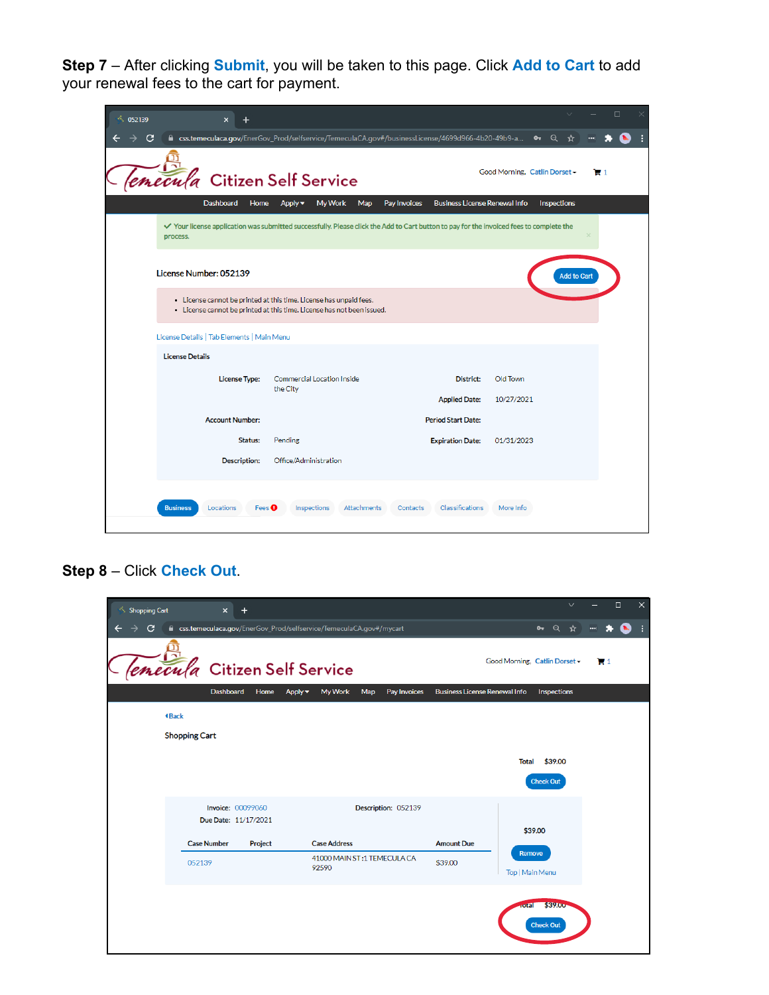**Step 7** – After clicking **Submit**, you will be taken to this page. Click **Add to Cart** to add your renewal fees to the cart for payment.

| 052139 |                                                       |                                                                                                                                              |                                                      |                               |                         |     | $\Box$ |  |
|--------|-------------------------------------------------------|----------------------------------------------------------------------------------------------------------------------------------------------|------------------------------------------------------|-------------------------------|-------------------------|-----|--------|--|
| C      |                                                       | ■ css.temeculaca.gov/EnerGov_Prod/selfservice/TemeculaCA.gov#/businessLicense/4699d966-4b20-49b9-a                                           |                                                      |                               | $\sim$<br>$\Theta$<br>☆ |     |        |  |
|        |                                                       | <b>Citizen Self Service</b>                                                                                                                  |                                                      | Good Morning, Catlin Dorset - |                         | 121 |        |  |
|        | <b>Dashboard</b><br>Home                              | My Work<br>Map<br>$Apply -$                                                                                                                  | <b>Business License Renewal Info</b><br>Pay Invoices |                               | Inspections             |     |        |  |
|        | process.                                              | √ Your license application was submitted successfully. Please click the Add to Cart button to pay for the invoiced fees to complete the      |                                                      |                               |                         |     |        |  |
|        | License Number: 052139                                |                                                                                                                                              |                                                      |                               | <b>Add to Cart</b>      |     |        |  |
|        |                                                       | • License cannot be printed at this time. License has unpaid fees.<br>• License cannot be printed at this time. License has not been issued. |                                                      |                               |                         |     |        |  |
|        | License Details   Tab Elements   Main Menu            |                                                                                                                                              |                                                      |                               |                         |     |        |  |
|        | <b>License Details</b>                                |                                                                                                                                              |                                                      |                               |                         |     |        |  |
|        | <b>License Type:</b>                                  | Commercial Location Inside<br>the City                                                                                                       | District:                                            | Old Town                      |                         |     |        |  |
|        |                                                       |                                                                                                                                              | <b>Applied Date:</b>                                 | 10/27/2021                    |                         |     |        |  |
|        | <b>Account Number:</b>                                |                                                                                                                                              | <b>Period Start Date:</b>                            |                               |                         |     |        |  |
|        | Status:                                               | Pending                                                                                                                                      | <b>Expiration Date:</b>                              | 01/31/2023                    |                         |     |        |  |
|        | <b>Description:</b>                                   | Office/Administration                                                                                                                        |                                                      |                               |                         |     |        |  |
|        | <b>Business</b><br>Locations<br>Fees $\mathbf \Theta$ | Inspections<br>Attachments                                                                                                                   | Classifications<br>Contacts                          | More Info                     |                         |     |        |  |

## **Step 8** – Click **Check Out**.

| <b>Shopping Cart</b> | $\mathsf{x}$         | $\pm$                    |                                                                      |     |                     |                                      |                               |                                    | $\checkmark$ |     | $\Box$         | $\times$ |
|----------------------|----------------------|--------------------------|----------------------------------------------------------------------|-----|---------------------|--------------------------------------|-------------------------------|------------------------------------|--------------|-----|----------------|----------|
| c                    |                      |                          | ■ css.temeculaca.gov/EnerGov_Prod/selfservice/TemeculaCA.gov#/mycart |     |                     |                                      |                               | • Q ☆                              |              | --- |                | ÷        |
| emecu                |                      |                          | <b>Citizen Self Service</b>                                          |     |                     |                                      | Good Morning, Catlin Dorset - |                                    |              |     | $\blacksquare$ |          |
|                      | Dashboard            | Home                     | My Work<br>Apply v                                                   | Map | Pay Invoices        | <b>Business License Renewal Info</b> |                               | Inspections                        |              |     |                |          |
|                      | <b>4Back</b>         |                          |                                                                      |     |                     |                                      |                               |                                    |              |     |                |          |
|                      | <b>Shopping Cart</b> |                          |                                                                      |     |                     |                                      |                               |                                    |              |     |                |          |
|                      |                      |                          |                                                                      |     |                     |                                      | <b>Total</b>                  | \$39.00                            |              |     |                |          |
|                      |                      |                          |                                                                      |     |                     |                                      |                               | Check Out                          |              |     |                |          |
|                      |                      | <b>Invoice: 00099060</b> |                                                                      |     | Description: 052139 |                                      |                               |                                    |              |     |                |          |
|                      |                      | Due Date: 11/17/2021     |                                                                      |     |                     |                                      |                               | \$39.00                            |              |     |                |          |
|                      | <b>Case Number</b>   | Project                  | <b>Case Address</b>                                                  |     |                     | <b>Amount Due</b>                    | Remove                        |                                    |              |     |                |          |
|                      | 052139               |                          | 41000 MAIN ST:1 TEMECULA CA<br>92590                                 |     |                     | \$39.00                              | Top   Main Menu               |                                    |              |     |                |          |
|                      |                      |                          |                                                                      |     |                     |                                      |                               |                                    |              |     |                |          |
|                      |                      |                          |                                                                      |     |                     |                                      | oral                          | <b>\$39.00</b><br><b>Check Out</b> |              |     |                |          |
|                      |                      |                          |                                                                      |     |                     |                                      |                               |                                    |              |     |                |          |
|                      |                      |                          |                                                                      |     |                     |                                      |                               |                                    |              |     |                |          |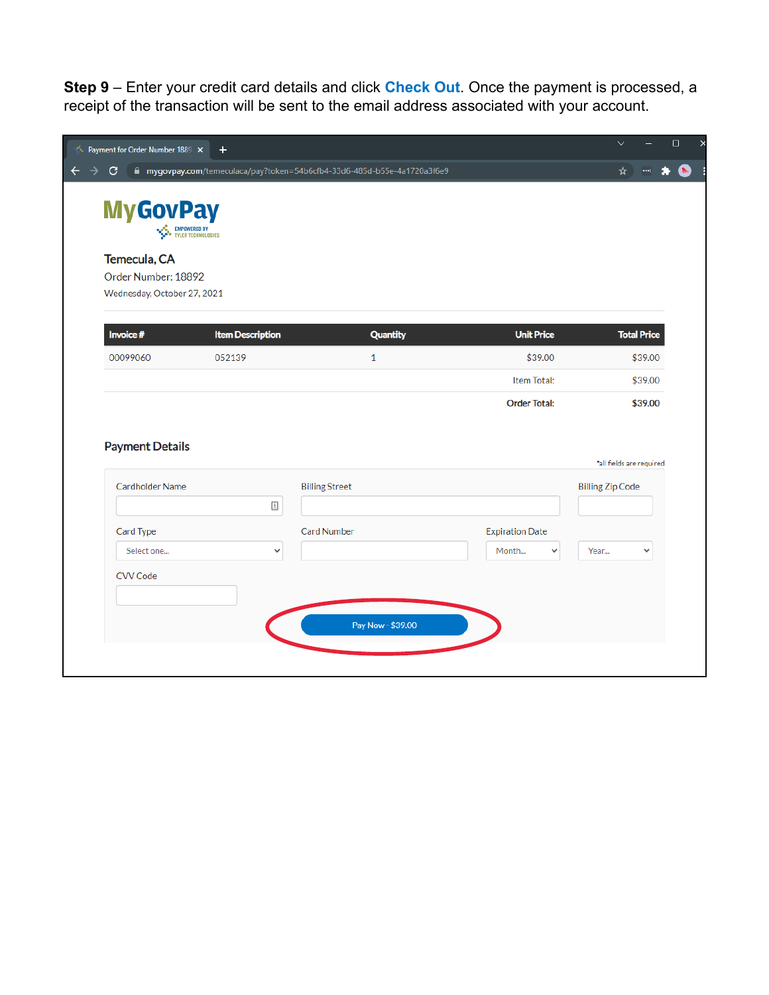**Step 9** – Enter your credit card details and click **Check Out**. Once the payment is processed, a receipt of the transaction will be sent to the email address associated with your account.

| C                                                |                                                | mygovpay.com/temeculaca/pay?token=54b6cfb4-33d6-485d-b55e-4a1720a3f6e9 |                        | ☆                                   |
|--------------------------------------------------|------------------------------------------------|------------------------------------------------------------------------|------------------------|-------------------------------------|
| <b>MyGovPay</b>                                  | <b>NASA</b> EMPOWERED BY<br>TYLER TECHNOLOGIES |                                                                        |                        |                                     |
| Temecula, CA                                     |                                                |                                                                        |                        |                                     |
| Order Number: 18892                              |                                                |                                                                        |                        |                                     |
| Wednesday, October 27, 2021                      |                                                |                                                                        |                        |                                     |
| Invoice #                                        | <b>Item Description</b>                        | <b>Quantity</b>                                                        | <b>Unit Price</b>      | <b>Total Price</b>                  |
| 00099060                                         | 052139                                         | $\mathbf{1}$                                                           | \$39.00                | \$39.00                             |
|                                                  |                                                |                                                                        | Item Total:            | \$39.00                             |
|                                                  |                                                |                                                                        |                        |                                     |
|                                                  |                                                |                                                                        | <b>Order Total:</b>    |                                     |
| <b>Payment Details</b><br><b>Cardholder Name</b> |                                                | <b>Billing Street</b>                                                  |                        | <b>Billing Zip Code</b>             |
|                                                  | $\mathrel{\mathop=}$                           |                                                                        |                        |                                     |
| Card Type                                        |                                                | <b>Card Number</b>                                                     | <b>Expiration Date</b> |                                     |
| Select one                                       | $\checkmark$                                   |                                                                        | Month<br>$\checkmark$  | Year<br>$\checkmark$                |
| <b>CVV Code</b>                                  |                                                |                                                                        |                        |                                     |
|                                                  |                                                |                                                                        |                        |                                     |
|                                                  |                                                |                                                                        |                        |                                     |
|                                                  |                                                | Pay Now - \$39.00                                                      |                        | \$39.00<br>*all fields are required |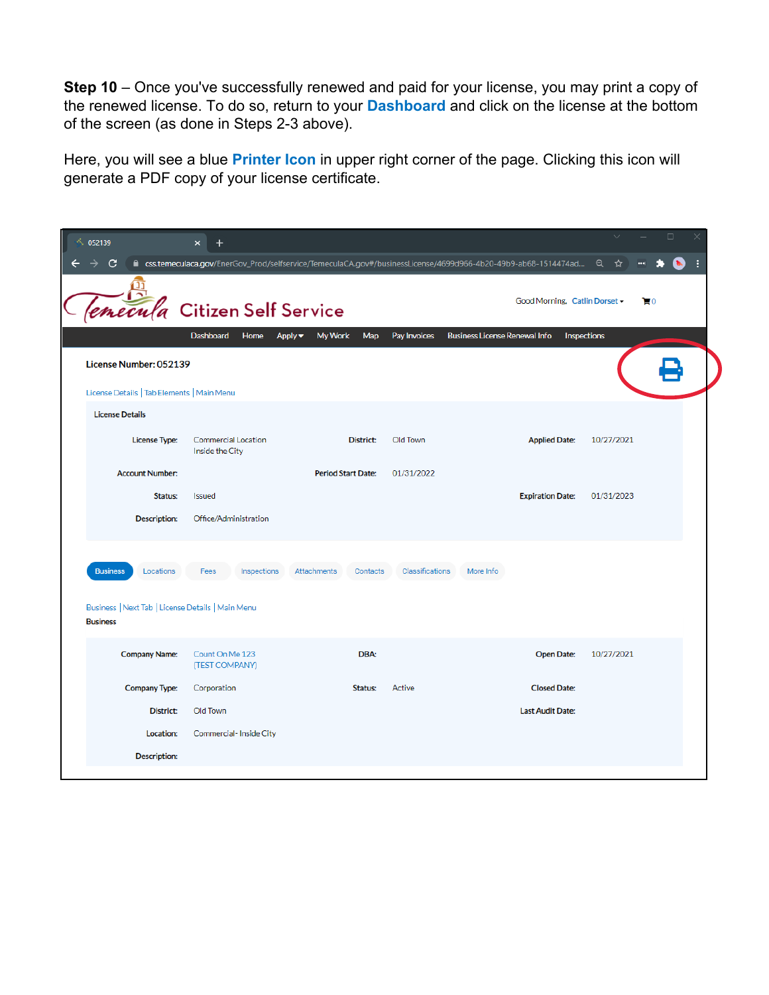**Step 10** – Once you've successfully renewed and paid for your license, you may print a copy of the renewed license. To do so, return to your **Dashboard** and click on the license at the bottom of the screen (as done in Steps 2-3 above).

Here, you will see a blue **Printer Icon** in upper right corner of the page. Clicking this icon will generate a PDF copy of your license certificate.

| 052139                                                               | $\boldsymbol{\mathsf{x}}$                              |                           |                 |                                                                                                                 |             | п  |
|----------------------------------------------------------------------|--------------------------------------------------------|---------------------------|-----------------|-----------------------------------------------------------------------------------------------------------------|-------------|----|
| C                                                                    |                                                        |                           |                 | ■ css.temeculaca.gov/EnerGov_Prod/selfservice/TemeculaCA.gov#/businessLicense/4699d966-4b20-49b9-ab68-1514474ad | Q<br>☆      |    |
|                                                                      | <i>emecula</i> Citizen Self Service                    |                           |                 | Good Morning, Catlin Dorset -                                                                                   |             | Τ0 |
|                                                                      | <b>Dashboard</b><br>Home<br>Apply $\blacktriangledown$ | Map<br><b>My Work</b>     | Pay Invoices    | <b>Business License Renewal Info</b>                                                                            | Inspections |    |
| License Number: 052139                                               |                                                        |                           |                 |                                                                                                                 |             |    |
| License Details   Tab Elements   Main Menu                           |                                                        |                           |                 |                                                                                                                 |             |    |
| <b>License Details</b>                                               |                                                        |                           |                 |                                                                                                                 |             |    |
| <b>License Type:</b>                                                 | Commercial Location<br>Inside the City                 | District:                 | Old Town        | <b>Applied Date:</b>                                                                                            | 10/27/2021  |    |
| <b>Account Number:</b>                                               |                                                        | <b>Period Start Date:</b> | 01/31/2022      |                                                                                                                 |             |    |
| Status:                                                              | Issued                                                 |                           |                 | <b>Expiration Date:</b>                                                                                         | 01/31/2023  |    |
| <b>Description:</b>                                                  | Office/Administration                                  |                           |                 |                                                                                                                 |             |    |
|                                                                      |                                                        |                           |                 |                                                                                                                 |             |    |
| <b>Business</b><br>Locations                                         | Fees<br>Inspections                                    | Attachments<br>Contacts   | Classifications | More Info                                                                                                       |             |    |
| Business   Next Tab   License Details   Main Menu<br><b>Business</b> |                                                        |                           |                 |                                                                                                                 |             |    |
| <b>Company Name:</b>                                                 | Count On Me 123<br>(TEST COMPANY)                      | DBA:                      |                 | <b>Open Date:</b>                                                                                               | 10/27/2021  |    |
| <b>Company Type:</b>                                                 | Corporation                                            | Status:                   | Active          | <b>Closed Date:</b>                                                                                             |             |    |
| District:                                                            | Old Town                                               |                           |                 | <b>Last Audit Date:</b>                                                                                         |             |    |
| Location:                                                            | Commercial-Inside City                                 |                           |                 |                                                                                                                 |             |    |
| <b>Description:</b>                                                  |                                                        |                           |                 |                                                                                                                 |             |    |
|                                                                      |                                                        |                           |                 |                                                                                                                 |             |    |